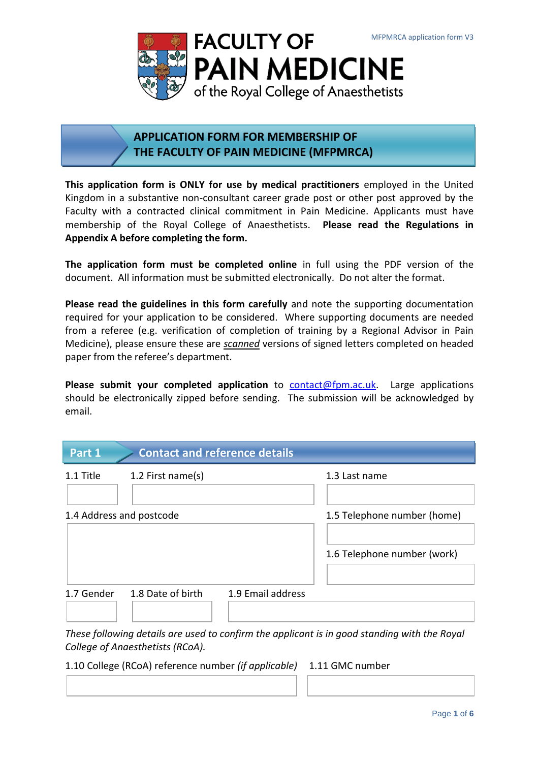

# **APPLICATION FORM FOR MEMBERSHIP OF THE FACULTY OF PAIN MEDICINE (MFPMRCA)**

**This application form is ONLY for use by medical practitioners** employed in the United Kingdom in a substantive non-consultant career grade post or other post approved by the Faculty with a contracted clinical commitment in Pain Medicine. Applicants must have membership of the Royal College of Anaesthetists. **Please read the Regulations in Appendix A before completing the form.**

**The application form must be completed online** in full using the PDF version of the document. All information must be submitted electronically. Do not alter the format.

**Please read the guidelines in this form carefully** and note the supporting documentation required for your application to be considered. Where supporting documents are needed from a referee (e.g. verification of completion of training by a Regional Advisor in Pain Medicine), please ensure these are *scanned* versions of signed letters completed on headed paper from the referee's department.

Please submit your completed application to **contact@fpm.ac.uk**. Large applications should be electronically zipped before sending. The submission will be acknowledged by email.

| Part 1                   | <b>Contact and reference details</b> |                             |                             |
|--------------------------|--------------------------------------|-----------------------------|-----------------------------|
| 1.1 Title                | 1.2 First name(s)                    |                             | 1.3 Last name               |
| 1.4 Address and postcode |                                      | 1.5 Telephone number (home) |                             |
|                          |                                      |                             | 1.6 Telephone number (work) |
| 1.7 Gender               | 1.8 Date of birth                    | 1.9 Email address           |                             |

*These following details are used to confirm the applicant is in good standing with the Royal College of Anaesthetists (RCoA).*

1.10 College (RCoA) reference number *(if applicable)* 1.11 GMC number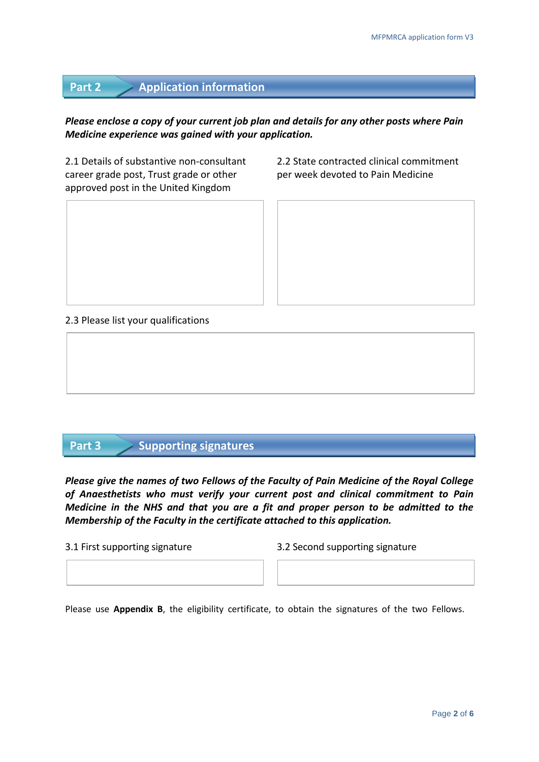# **Part 2 Application information**

## *Please enclose a copy of your current job plan and details for any other posts where Pain Medicine experience was gained with your application.*

career grade post, Trust grade or other per week devoted to Pain Medicine approved post in the United Kingdom

2.1 Details of substantive non-consultant 2.2 State contracted clinical commitment

### 2.3 Please list your qualifications

## **Part 3 Supporting signatures**

*Please give the names of two Fellows of the Faculty of Pain Medicine of the Royal College of Anaesthetists who must verify your current post and clinical commitment to Pain Medicine in the NHS and that you are a fit and proper person to be admitted to the Membership of the Faculty in the certificate attached to this application.*

3.1 First supporting signature 3.2 Second supporting signature

Please use **Appendix B**, the eligibility certificate, to obtain the signatures of the two Fellows.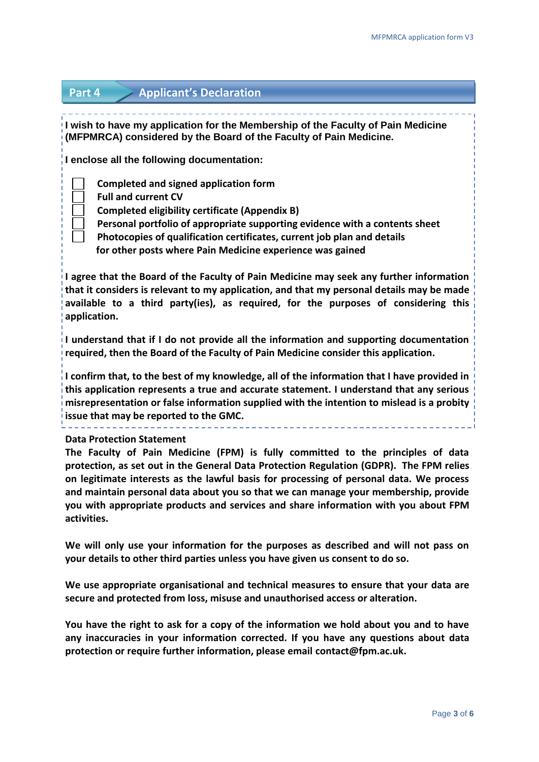## **Part 4 Applicant's Declaration**

**I wish to have my application for the Membership of the Faculty of Pain Medicine (MFPMRCA) considered by the Board of the Faculty of Pain Medicine.**

**I enclose all the following documentation:**

- 
- **Completed and signed application form**
	- **Full and current CV**
	- **Completed eligibility certificate (Appendix B)**
	- **Personal portfolio of appropriate supporting evidence with a contents sheet**
	- **Photocopies of qualification certificates, current job plan and details**
	- **for other posts where Pain Medicine experience was gained**

**I agree that the Board of the Faculty of Pain Medicine may seek any further information that it considers is relevant to my application, and that my personal details may be made available to a third party(ies), as required, for the purposes of considering this application.**

**I understand that if I do not provide all the information and supporting documentation required, then the Board of the Faculty of Pain Medicine consider this application.**

**I confirm that, to the best of my knowledge, all of the information that I have provided in this application represents a true and accurate statement. I understand that any serious misrepresentation or false information supplied with the intention to mislead is a probity issue that may be reported to the GMC.**

#### **Data Protection Statement**

**The Faculty of Pain Medicine (FPM) is fully committed to the principles of data protection, as set out in the General Data Protection Regulation (GDPR). The FPM relies on legitimate interests as the lawful basis for processing of personal data. We process and maintain personal data about you so that we can manage your membership, provide you with appropriate products and services and share information with you about FPM activities.**

**We will only use your information for the purposes as described and will not pass on your details to other third parties unless you have given us consent to do so.**

**We use appropriate organisational and technical measures to ensure that your data are secure and protected from loss, misuse and unauthorised access or alteration.**

**You have the right to ask for a copy of the information we hold about you and to have any inaccuracies in your information corrected. If you have any questions about data protection or require further information, please email [contact@fpm.ac.uk.](mailto:contact@fpm.ac.uk)**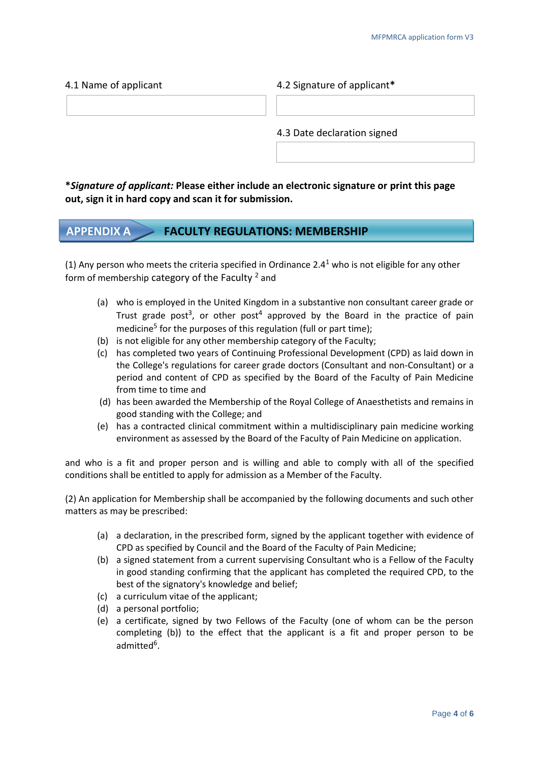4.1 Name of applicant 4.2 Signature of applicant**\***

4.3 Date declaration signed

**\****Signature of applicant:* **Please either include an electronic signature or print this page out, sign it in hard copy and scan it for submission.**

## **APPENDIX A FACULTY REGULATIONS: MEMBERSHIP**

(1) Any person who meets the criteria specified in Ordinance 2.4<sup>1</sup> who is not eligible for any other form of membership category of the Faculty  $2$  and

- (a) who is employed in the United Kingdom in a substantive non consultant career grade or Trust grade post<sup>3</sup>, or other post<sup>4</sup> approved by the Board in the practice of pain medicine<sup>5</sup> for the purposes of this regulation (full or part time);
- (b) is not eligible for any other membership category of the Faculty;
- (c) has completed two years of Continuing Professional Development (CPD) as laid down in the College's regulations for career grade doctors (Consultant and non-Consultant) or a period and content of CPD as specified by the Board of the Faculty of Pain Medicine from time to time and
- (d) has been awarded the Membership of the Royal College of Anaesthetists and remains in good standing with the College; and
- (e) has a contracted clinical commitment within a multidisciplinary pain medicine working environment as assessed by the Board of the Faculty of Pain Medicine on application.

and who is a fit and proper person and is willing and able to comply with all of the specified conditions shall be entitled to apply for admission as a Member of the Faculty.

(2) An application for Membership shall be accompanied by the following documents and such other matters as may be prescribed:

- (a) a declaration, in the prescribed form, signed by the applicant together with evidence of CPD as specified by Council and the Board of the Faculty of Pain Medicine;
- (b) a signed statement from a current supervising Consultant who is a Fellow of the Faculty in good standing confirming that the applicant has completed the required CPD, to the best of the signatory's knowledge and belief;
- (c) a curriculum vitae of the applicant;
- (d) a personal portfolio;
- (e) a certificate, signed by two Fellows of the Faculty (one of whom can be the person completing (b)) to the effect that the applicant is a fit and proper person to be admitted<sup>6</sup>.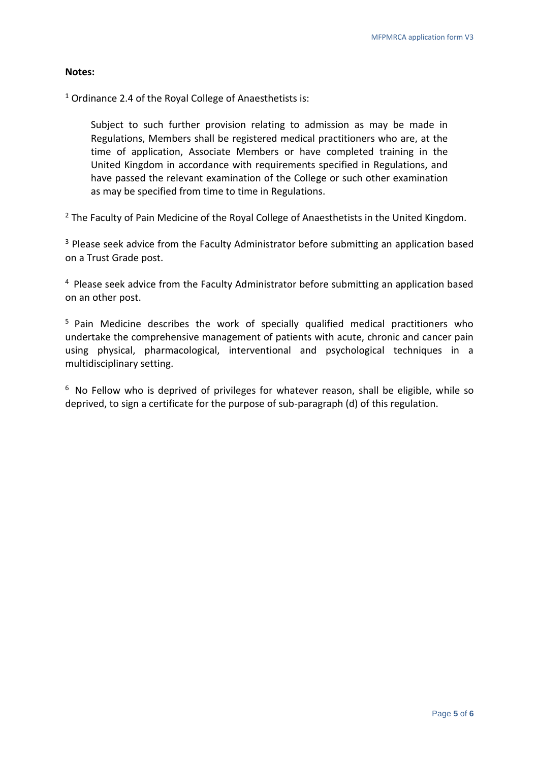### **Notes:**

<sup>1</sup> Ordinance 2.4 of the Royal College of Anaesthetists is:

Subject to such further provision relating to admission as may be made in Regulations, Members shall be registered medical practitioners who are, at the time of application, Associate Members or have completed training in the United Kingdom in accordance with requirements specified in Regulations, and have passed the relevant examination of the College or such other examination as may be specified from time to time in Regulations.

<sup>2</sup> The Faculty of Pain Medicine of the Royal College of Anaesthetists in the United Kingdom.

<sup>3</sup> Please seek advice from the Faculty Administrator before submitting an application based on a Trust Grade post.

<sup>4</sup> Please seek advice from the Faculty Administrator before submitting an application based on an other post.

<sup>5</sup> Pain Medicine describes the work of specially qualified medical practitioners who undertake the comprehensive management of patients with acute, chronic and cancer pain using physical, pharmacological, interventional and psychological techniques in a multidisciplinary setting.

 $6$  No Fellow who is deprived of privileges for whatever reason, shall be eligible, while so deprived, to sign a certificate for the purpose of sub-paragraph (d) of this regulation.